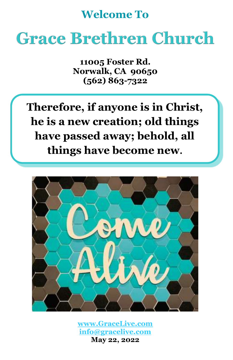# **Welcome To**

# **Grace Brethren Church**

**11005 Foster Rd. Norwalk, CA 90650 (562) 863-7322**

**Therefore, if anyone is in Christ, he is a new creation; old things have passed away; behold, all things have become new.**



**[www.GraceLive.com](http://www.gracelive.com/) [info@gracelive.com](mailto:info@gracelive.com) May 22, 2022**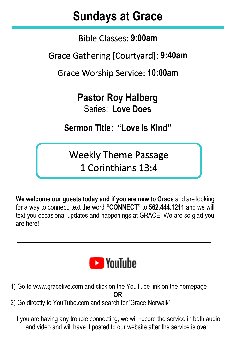# **Sundays at Grace**

Bible Classes: **9:00am**

Grace Gathering [Courtyard]: **9:40am**

Grace Worship Service: **10:00am**

**Pastor Roy Halberg** Series: **Love Does**

**Sermon Title: "Love is Kind"**

Weekly Theme Passage 1 Corinthians 13:4

**We welcome our guests today and if you are new to Grace** and are looking for a way to connect, text the word **"CONNECT"** to **562.444.1211** and we will text you occasional updates and happenings at GRACE. We are so glad you are here!



- 1) Go to [www.gracelive.com](https://mandrillapp.com/track/click/30119321/www.gracelive.com?p=eyJzIjoiVFlsX2d2Skp4NlhxZ2p4SURJd1BiQ3BjS2dNIiwidiI6MSwicCI6IntcInVcIjozMDExOTMyMSxcInZcIjoxLFwidXJsXCI6XCJodHRwOlxcXC9cXFwvd3d3LmdyYWNlbGl2ZS5jb21cIixcImlkXCI6XCI3ZDU3MmMyMmZkMmI0ZWJkYmQxODBiMWI4MTY1NDg0MlwiLFwidXJsX2lkc1wiOltcImUyMmY4ODVmYjE0YzEzNDBjMzk0N2UxN2E3MTRjYjZlNGI4ODE4N2VcIl19In0) and click on the YouTube link on the homepage **OR**
- 2) Go directly to YouTube.com and search for 'Grace Norwalk'

If you are having any trouble connecting, we will record the service in both audio and video and will have it posted to our website after the service is over.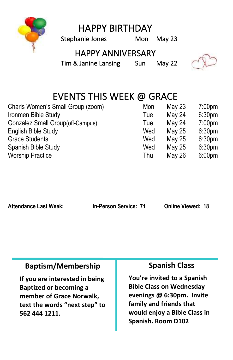

HAPPY BIRTHDAY

Stephanie Jones Mon May 23

### HAPPY ANNIVERSARY

Tim & Janine Lansing Sun May 22



## EVENTS THIS WEEK @ GRACE

| Charis Women's Small Group (zoom) | Mon | May 23 | 7:00 <sub>pm</sub> |
|-----------------------------------|-----|--------|--------------------|
| Ironmen Bible Study               | Tue | May 24 | 6:30 <sub>pm</sub> |
| Gonzalez Small Group(off-Campus)  | Tue | May 24 | 7:00 <sub>pm</sub> |
| English Bible Study               | Wed | May 25 | 6:30 <sub>pm</sub> |
| <b>Grace Students</b>             | Wed | May 25 | 6:30 <sub>pm</sub> |
| Spanish Bible Study               | Wed | May 25 | 6:30 <sub>pm</sub> |
| <b>Worship Practice</b>           | Thu | May 26 | 6:00 <sub>pm</sub> |

**Attendance Last Week: In-Person Service: 71 Online Viewed: 18**

#### **Baptism/Membership**

**If you are interested in being Baptized or becoming a member of Grace Norwalk, text the words "next step" to 562 444 1211.**

#### **Spanish Class**

**You're invited to a Spanish Bible Class on Wednesday evenings @ 6:30pm. Invite family and friends that would enjoy a Bible Class in Spanish. Room D102**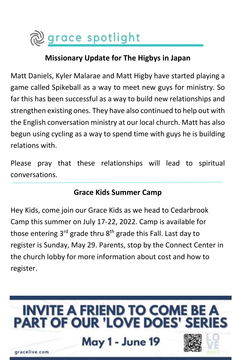

#### **Missionary Update for The Higbys in Japan**

Matt Daniels, Kyler Malarae and Matt Higby have started playing a game called Spikeball as a way to meet new guys for ministry. So far this has been successful as a way to build new relationships and strengthen existing ones. They have also continued to help out with the English conversation ministry at our local church. Matt has also begun using cycling as a way to spend time with guys he is building relations with.

Please pray that these relationships will lead to spiritual conversations.

#### **Grace Kids Summer Camp**

Hey Kids, come join our Grace Kids as we head to Cedarbrook Camp this summer on July 17-22, 2022. Camp is available for those entering  $3^{rd}$  grade thru  $8^{th}$  grade this Fall. Last day to register is Sunday, May 29. Parents, stop by the Connect Center in the church lobby for more information about cost and how to register.